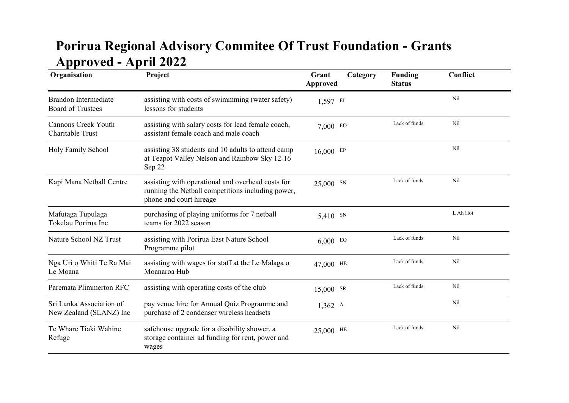## Porirua Regional Advisory Commitee Of Trust Foundation - Grants Approved - April 2022

| Organisation                                            | Project                                                                                                                           | Category<br>Grant<br><b>Approved</b> | Funding<br><b>Status</b> | Conflict        |
|---------------------------------------------------------|-----------------------------------------------------------------------------------------------------------------------------------|--------------------------------------|--------------------------|-----------------|
| <b>Brandon Intermediate</b><br><b>Board of Trustees</b> | assisting with costs of swimmming (water safety)<br>lessons for students                                                          | 1,597 EI                             |                          | Nil             |
| <b>Cannons Creek Youth</b><br>Charitable Trust          | assisting with salary costs for lead female coach,<br>assistant female coach and male coach                                       | $7,000$ EO                           | Lack of funds            | N <sub>il</sub> |
| Holy Family School                                      | assisting 38 students and 10 adults to attend camp<br>at Teapot Valley Nelson and Rainbow Sky 12-16<br>Sep 22                     | 16,000 EP                            |                          | Nil             |
| Kapi Mana Netball Centre                                | assisting with operational and overhead costs for<br>running the Netball competitions including power,<br>phone and court hireage | 25,000 SN                            | Lack of funds            | Nil             |
| Mafutaga Tupulaga<br>Tokelau Porirua Inc                | purchasing of playing uniforms for 7 netball<br>teams for 2022 season                                                             | 5,410 SN                             |                          | L Ah Hoi        |
| Nature School NZ Trust                                  | assisting with Porirua East Nature School<br>Programme pilot                                                                      | 6,000 E0                             | Lack of funds            | Nil             |
| Nga Uri o Whiti Te Ra Mai<br>Le Moana                   | assisting with wages for staff at the Le Malaga o<br>Moanaroa Hub                                                                 | 47,000 HE                            | Lack of funds            | N <sub>il</sub> |
| Paremata Plimmerton RFC                                 | assisting with operating costs of the club                                                                                        | 15,000 SR                            | Lack of funds            | Nil             |
| Sri Lanka Association of<br>New Zealand (SLANZ) Inc     | pay venue hire for Annual Quiz Programme and<br>purchase of 2 condenser wireless headsets                                         | $1,362$ A                            |                          | Nil             |
| Te Whare Tiaki Wahine<br>Refuge                         | safehouse upgrade for a disability shower, a<br>storage container ad funding for rent, power and<br>wages                         | 25,000 HE                            | Lack of funds            | Nil             |